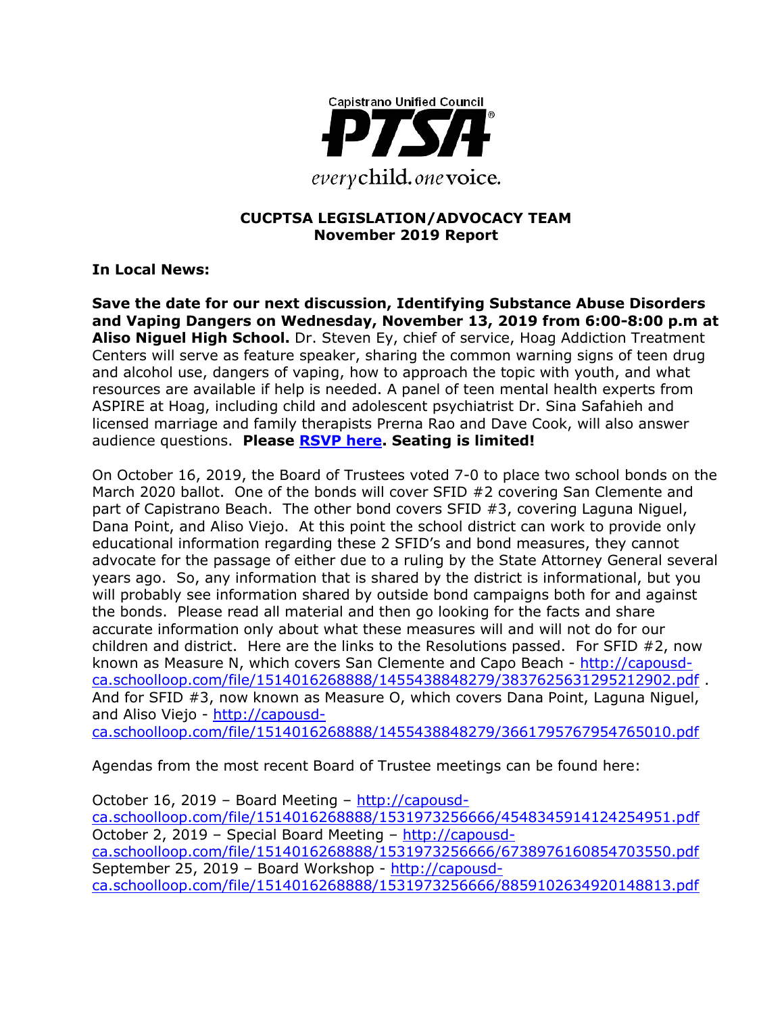

#### **CUCPTSA LEGISLATION/ADVOCACY TEAM November 2019 Report**

**In Local News:**

**Save the date for our next discussion, Identifying Substance Abuse Disorders and Vaping Dangers on Wednesday, November 13, 2019 from 6:00-8:00 p.m at Aliso Niguel High School.** Dr. Steven Ey, chief of service, Hoag Addiction Treatment Centers will serve as feature speaker, sharing the common warning signs of teen drug and alcohol use, dangers of vaping, how to approach the topic with youth, and what resources are available if help is needed. A panel of teen mental health experts from ASPIRE at Hoag, including child and adolescent psychiatrist Dr. Sina Safahieh and licensed marriage and family therapists Prerna Rao and Dave Cook, will also answer audience questions. **Please [RSVP here.](http://track.spe.schoolmessenger.com/f/a/0N4FtY-k9tz_WesyB9gOqg~~/AAAAAQA~/RgRfXDoaP0QXaHR0cDovL2JpdC5seS9Ib2FnQ1VTRDJXB3NjaG9vbG1CCgAAmgZ7Xe5RjANSFG15c2hlbEBpeC5uZXRjb20uY29tWAQAAAAB) Seating is limited!**

On October 16, 2019, the Board of Trustees voted 7-0 to place two school bonds on the March 2020 ballot. One of the bonds will cover SFID #2 covering San Clemente and part of Capistrano Beach. The other bond covers SFID #3, covering Laguna Niguel, Dana Point, and Aliso Viejo. At this point the school district can work to provide only educational information regarding these 2 SFID's and bond measures, they cannot advocate for the passage of either due to a ruling by the State Attorney General several years ago. So, any information that is shared by the district is informational, but you will probably see information shared by outside bond campaigns both for and against the bonds. Please read all material and then go looking for the facts and share accurate information only about what these measures will and will not do for our children and district. Here are the links to the Resolutions passed. For SFID #2, now known as Measure N, which covers San Clemente and Capo Beach - [http://capousd](http://capousd-ca.schoolloop.com/file/1514016268888/1455438848279/3837625631295212902.pdf)[ca.schoolloop.com/file/1514016268888/1455438848279/3837625631295212902.pdf](http://capousd-ca.schoolloop.com/file/1514016268888/1455438848279/3837625631295212902.pdf) . And for SFID #3, now known as Measure O, which covers Dana Point, Laguna Niguel, and Aliso Viejo - [http://capousd](http://capousd-ca.schoolloop.com/file/1514016268888/1455438848279/3661795767954765010.pdf)[ca.schoolloop.com/file/1514016268888/1455438848279/3661795767954765010.pdf](http://capousd-ca.schoolloop.com/file/1514016268888/1455438848279/3661795767954765010.pdf)

Agendas from the most recent Board of Trustee meetings can be found here:

October 16, 2019 – Board Meeting – [http://capousd](http://capousd-ca.schoolloop.com/file/1514016268888/1531973256666/4548345914124254951.pdf)[ca.schoolloop.com/file/1514016268888/1531973256666/4548345914124254951.pdf](http://capousd-ca.schoolloop.com/file/1514016268888/1531973256666/4548345914124254951.pdf) October 2, 2019 – Special Board Meeting – [http://capousd](http://capousd-ca.schoolloop.com/file/1514016268888/1531973256666/6738976160854703550.pdf)[ca.schoolloop.com/file/1514016268888/1531973256666/6738976160854703550.pdf](http://capousd-ca.schoolloop.com/file/1514016268888/1531973256666/6738976160854703550.pdf) September 25, 2019 – Board Workshop - [http://capousd](http://capousd-ca.schoolloop.com/file/1514016268888/1531973256666/8859102634920148813.pdf)[ca.schoolloop.com/file/1514016268888/1531973256666/8859102634920148813.pdf](http://capousd-ca.schoolloop.com/file/1514016268888/1531973256666/8859102634920148813.pdf)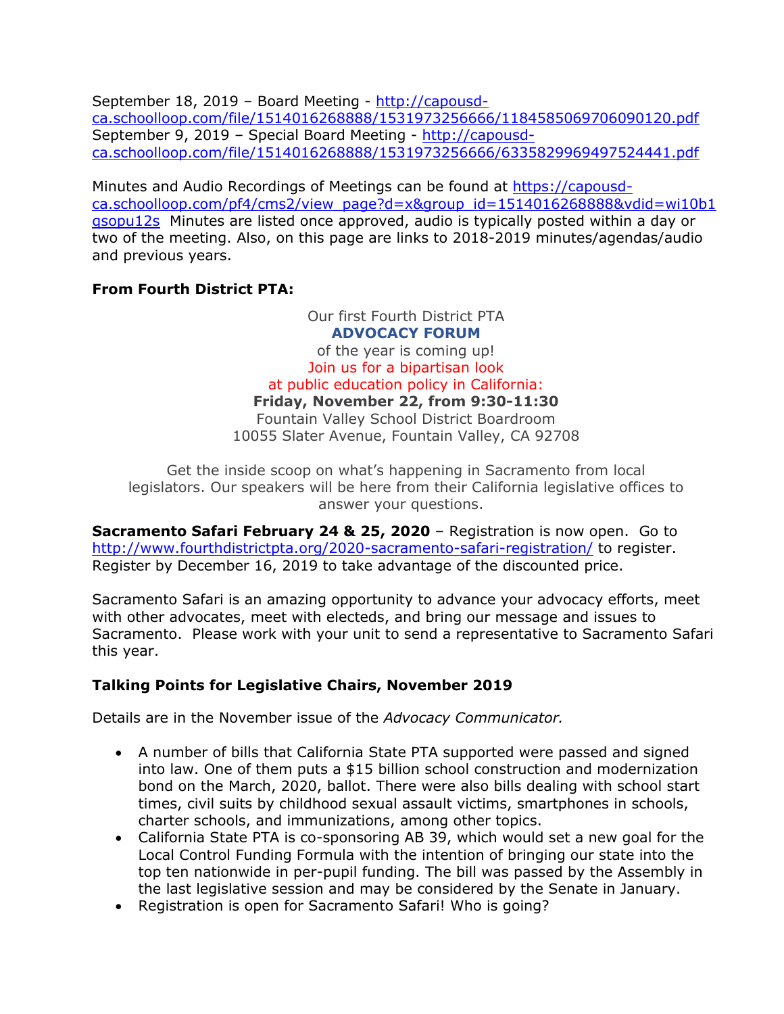September 18, 2019 – Board Meeting - [http://capousd](http://capousd-ca.schoolloop.com/file/1514016268888/1531973256666/1184585069706090120.pdf)[ca.schoolloop.com/file/1514016268888/1531973256666/1184585069706090120.pdf](http://capousd-ca.schoolloop.com/file/1514016268888/1531973256666/1184585069706090120.pdf) September 9, 2019 – Special Board Meeting - [http://capousd](http://capousd-ca.schoolloop.com/file/1514016268888/1531973256666/6335829969497524441.pdf)[ca.schoolloop.com/file/1514016268888/1531973256666/6335829969497524441.pdf](http://capousd-ca.schoolloop.com/file/1514016268888/1531973256666/6335829969497524441.pdf)

Minutes and Audio Recordings of Meetings can be found at [https://capousd](https://capousd-ca.schoolloop.com/pf4/cms2/view_page?d=x&group_id=1514016268888&vdid=wi10b1qsopu12s)[ca.schoolloop.com/pf4/cms2/view\\_page?d=x&group\\_id=1514016268888&vdid=wi10b1](https://capousd-ca.schoolloop.com/pf4/cms2/view_page?d=x&group_id=1514016268888&vdid=wi10b1qsopu12s) [qsopu12s](https://capousd-ca.schoolloop.com/pf4/cms2/view_page?d=x&group_id=1514016268888&vdid=wi10b1qsopu12s) Minutes are listed once approved, audio is typically posted within a day or two of the meeting. Also, on this page are links to 2018-2019 minutes/agendas/audio and previous years.

## **From Fourth District PTA:**

Our first Fourth District PTA **ADVOCACY FORUM** of the year is coming up! Join us for a bipartisan look at public education policy in California: **Friday, November 22, from 9:30-11:30** Fountain Valley School District Boardroom 10055 Slater Avenue, Fountain Valley, CA 92708

Get the inside scoop on what's happening in Sacramento from local legislators. Our speakers will be here from their California legislative offices to answer your questions.

**Sacramento Safari February 24 & 25, 2020** – Registration is now open. Go to <http://www.fourthdistrictpta.org/2020-sacramento-safari-registration/> to register. Register by December 16, 2019 to take advantage of the discounted price.

Sacramento Safari is an amazing opportunity to advance your advocacy efforts, meet with other advocates, meet with electeds, and bring our message and issues to Sacramento. Please work with your unit to send a representative to Sacramento Safari this year.

# **Talking Points for Legislative Chairs, November 2019**

Details are in the November issue of the *Advocacy Communicator.*

- A number of bills that California State PTA supported were passed and signed into law. One of them puts a \$15 billion school construction and modernization bond on the March, 2020, ballot. There were also bills dealing with school start times, civil suits by childhood sexual assault victims, smartphones in schools, charter schools, and immunizations, among other topics.
- California State PTA is co-sponsoring AB 39, which would set a new goal for the Local Control Funding Formula with the intention of bringing our state into the top ten nationwide in per-pupil funding. The bill was passed by the Assembly in the last legislative session and may be considered by the Senate in January.
- Registration is open for Sacramento Safari! Who is going?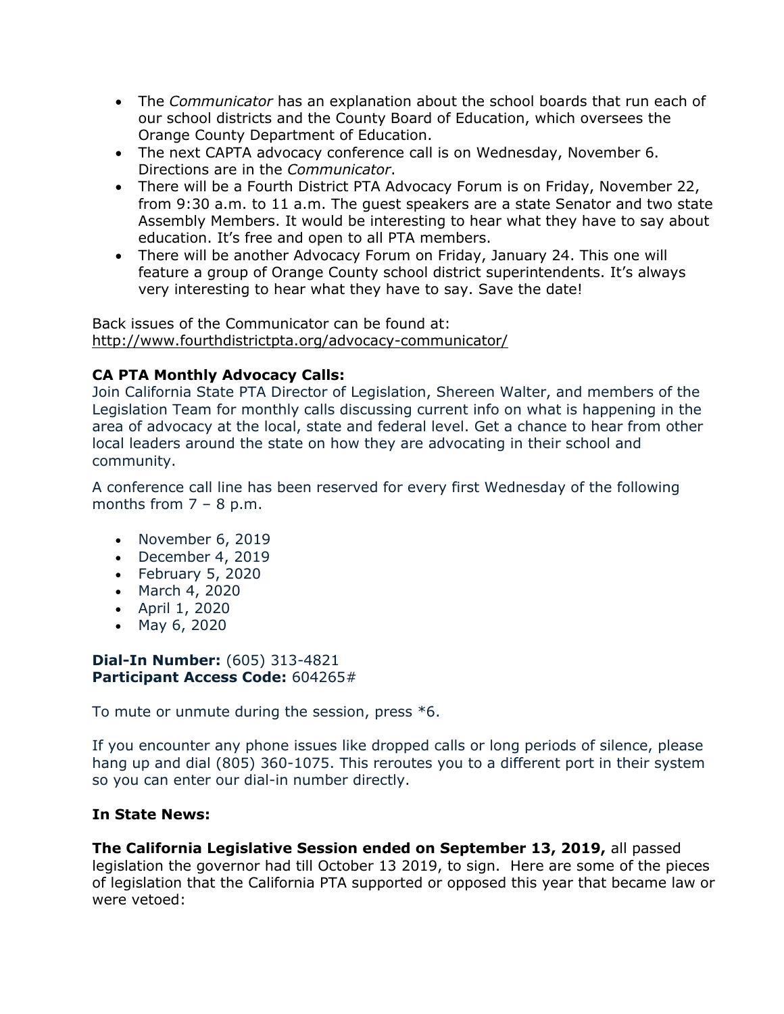- The *Communicator* has an explanation about the school boards that run each of our school districts and the County Board of Education, which oversees the Orange County Department of Education.
- The next CAPTA advocacy conference call is on Wednesday, November 6. Directions are in the *Communicator*.
- There will be a Fourth District PTA Advocacy Forum is on Friday, November 22, from 9:30 a.m. to 11 a.m. The guest speakers are a state Senator and two state Assembly Members. It would be interesting to hear what they have to say about education. It's free and open to all PTA members.
- There will be another Advocacy Forum on Friday, January 24. This one will feature a group of Orange County school district superintendents. It's always very interesting to hear what they have to say. Save the date!

Back issues of the Communicator can be found at: <http://www.fourthdistrictpta.org/advocacy-communicator/>

# **CA PTA Monthly Advocacy Calls:**

Join California State PTA Director of Legislation, Shereen Walter, and members of the Legislation Team for monthly calls discussing current info on what is happening in the area of advocacy at the local, state and federal level. Get a chance to hear from other local leaders around the state on how they are advocating in their school and community.

A conference call line has been reserved for every first Wednesday of the following months from  $7 - 8$  p.m.

- November 6, 2019
- December 4, 2019
- February 5, 2020
- March 4, 2020
- April 1, 2020
- May 6, 2020

## **Dial-In Number:** (605) 313-4821 **Participant Access Code:** 604265#

To mute or unmute during the session, press \*6.

If you encounter any phone issues like dropped calls or long periods of silence, please hang up and dial (805) 360-1075. This reroutes you to a different port in their system so you can enter our dial-in number directly.

## **In State News:**

**The California Legislative Session ended on September 13, 2019,** all passed legislation the governor had till October 13 2019, to sign. Here are some of the pieces of legislation that the California PTA supported or opposed this year that became law or were vetoed: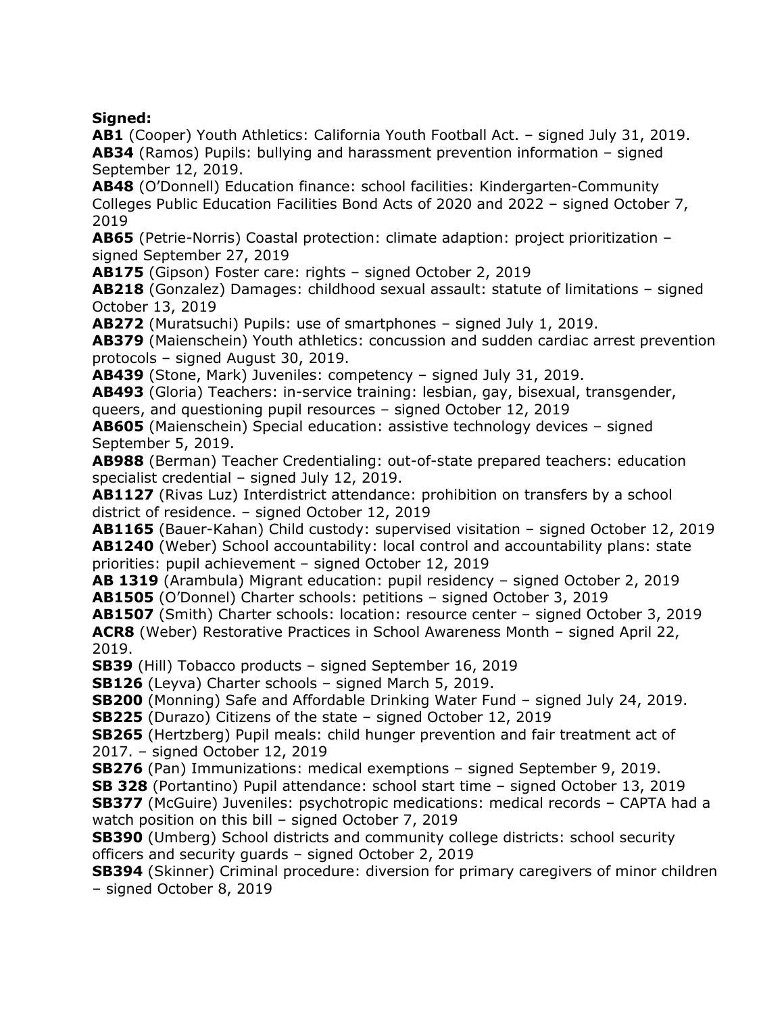**Signed:**

**AB1** (Cooper) Youth Athletics: California Youth Football Act. – signed July 31, 2019. **AB34** (Ramos) Pupils: bullying and harassment prevention information – signed September 12, 2019.

**AB48** (O'Donnell) Education finance: school facilities: Kindergarten-Community Colleges Public Education Facilities Bond Acts of 2020 and 2022 – signed October 7, 2019

**AB65** (Petrie-Norris) Coastal protection: climate adaption: project prioritization – signed September 27, 2019

**AB175** (Gipson) Foster care: rights – signed October 2, 2019

**AB218** (Gonzalez) Damages: childhood sexual assault: statute of limitations – signed October 13, 2019

**AB272** (Muratsuchi) Pupils: use of smartphones – signed July 1, 2019.

**AB379** (Maienschein) Youth athletics: concussion and sudden cardiac arrest prevention protocols – signed August 30, 2019.

**AB439** (Stone, Mark) Juveniles: competency – signed July 31, 2019.

**AB493** (Gloria) Teachers: in-service training: lesbian, gay, bisexual, transgender, queers, and questioning pupil resources – signed October 12, 2019

**AB605** (Maienschein) Special education: assistive technology devices – signed September 5, 2019.

**AB988** (Berman) Teacher Credentialing: out-of-state prepared teachers: education specialist credential – signed July 12, 2019.

**AB1127** (Rivas Luz) Interdistrict attendance: prohibition on transfers by a school district of residence. – signed October 12, 2019

**AB1165** (Bauer-Kahan) Child custody: supervised visitation – signed October 12, 2019 **AB1240** (Weber) School accountability: local control and accountability plans: state priorities: pupil achievement – signed October 12, 2019

**AB 1319** (Arambula) Migrant education: pupil residency – signed October 2, 2019 **AB1505** (O'Donnel) Charter schools: petitions – signed October 3, 2019

**AB1507** (Smith) Charter schools: location: resource center – signed October 3, 2019 **ACR8** (Weber) Restorative Practices in School Awareness Month – signed April 22, 2019.

**SB39** (Hill) Tobacco products – signed September 16, 2019

**SB126** (Leyva) Charter schools – signed March 5, 2019.

**SB200** (Monning) Safe and Affordable Drinking Water Fund – signed July 24, 2019. **SB225** (Durazo) Citizens of the state – signed October 12, 2019

**SB265** (Hertzberg) Pupil meals: child hunger prevention and fair treatment act of

2017. – signed October 12, 2019

**SB276** (Pan) Immunizations: medical exemptions – signed September 9, 2019.

**SB 328** (Portantino) Pupil attendance: school start time – signed October 13, 2019 **SB377** (McGuire) Juveniles: psychotropic medications: medical records - CAPTA had a

watch position on this bill – signed October 7, 2019

**SB390** (Umberg) School districts and community college districts: school security officers and security guards – signed October 2, 2019

**SB394** (Skinner) Criminal procedure: diversion for primary caregivers of minor children – signed October 8, 2019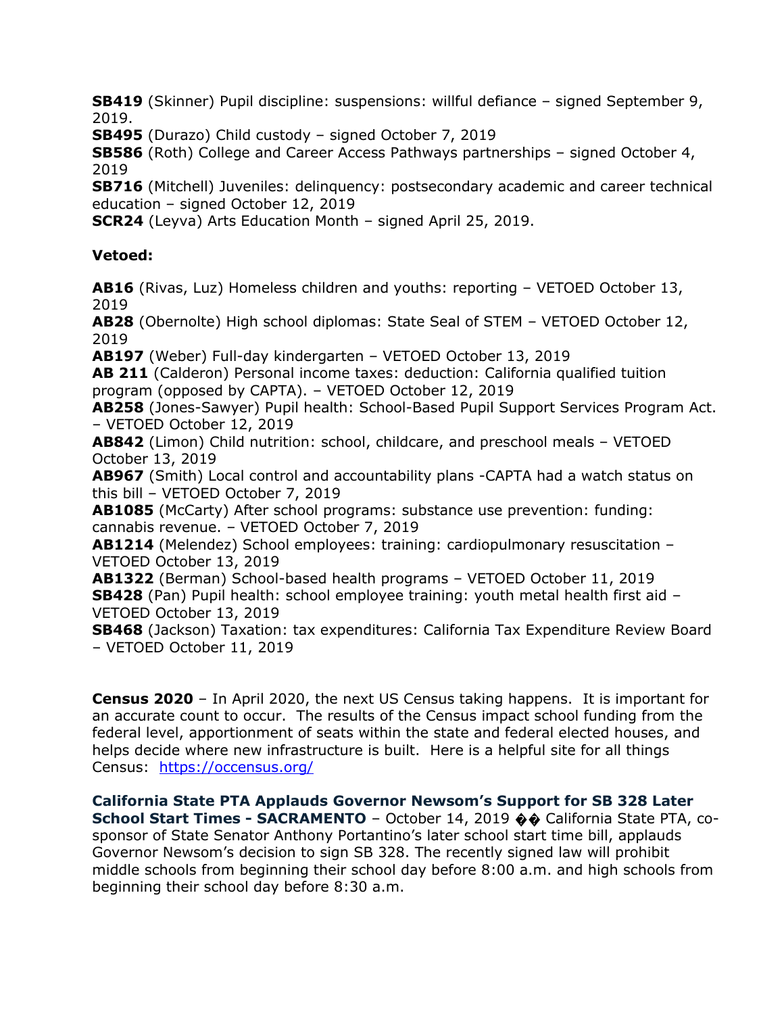**SB419** (Skinner) Pupil discipline: suspensions: willful defiance – signed September 9, 2019.

**SB495** (Durazo) Child custody – signed October 7, 2019

**SB586** (Roth) College and Career Access Pathways partnerships – signed October 4, 2019

**SB716** (Mitchell) Juveniles: delinquency: postsecondary academic and career technical education – signed October 12, 2019

**SCR24** (Leyva) Arts Education Month – signed April 25, 2019.

# **Vetoed:**

**AB16** (Rivas, Luz) Homeless children and youths: reporting – VETOED October 13, 2019

**AB28** (Obernolte) High school diplomas: State Seal of STEM – VETOED October 12, 2019

**AB197** (Weber) Full-day kindergarten – VETOED October 13, 2019

**AB 211** (Calderon) Personal income taxes: deduction: California qualified tuition program (opposed by CAPTA). – VETOED October 12, 2019

**AB258** (Jones-Sawyer) Pupil health: School-Based Pupil Support Services Program Act. – VETOED October 12, 2019

**AB842** (Limon) Child nutrition: school, childcare, and preschool meals – VETOED October 13, 2019

**AB967** (Smith) Local control and accountability plans -CAPTA had a watch status on this bill – VETOED October 7, 2019

**AB1085** (McCarty) After school programs: substance use prevention: funding: cannabis revenue. – VETOED October 7, 2019

**AB1214** (Melendez) School employees: training: cardiopulmonary resuscitation – VETOED October 13, 2019

**AB1322** (Berman) School-based health programs – VETOED October 11, 2019 **SB428** (Pan) Pupil health: school employee training: youth metal health first aid – VETOED October 13, 2019

**SB468** (Jackson) Taxation: tax expenditures: California Tax Expenditure Review Board – VETOED October 11, 2019

**Census 2020** – In April 2020, the next US Census taking happens. It is important for an accurate count to occur. The results of the Census impact school funding from the federal level, apportionment of seats within the state and federal elected houses, and helps decide where new infrastructure is built. Here is a helpful site for all things Census: <https://occensus.org/>

**California State PTA Applauds Governor Newsom's Support for SB 328 Later School Start Times - SACRAMENTO** – October 14, 2019 �� California State PTA, cosponsor of State Senator Anthony Portantino's later school start time bill, applauds Governor Newsom's decision to sign SB 328. The recently signed law will prohibit middle schools from beginning their school day before 8:00 a.m. and high schools from beginning their school day before 8:30 a.m.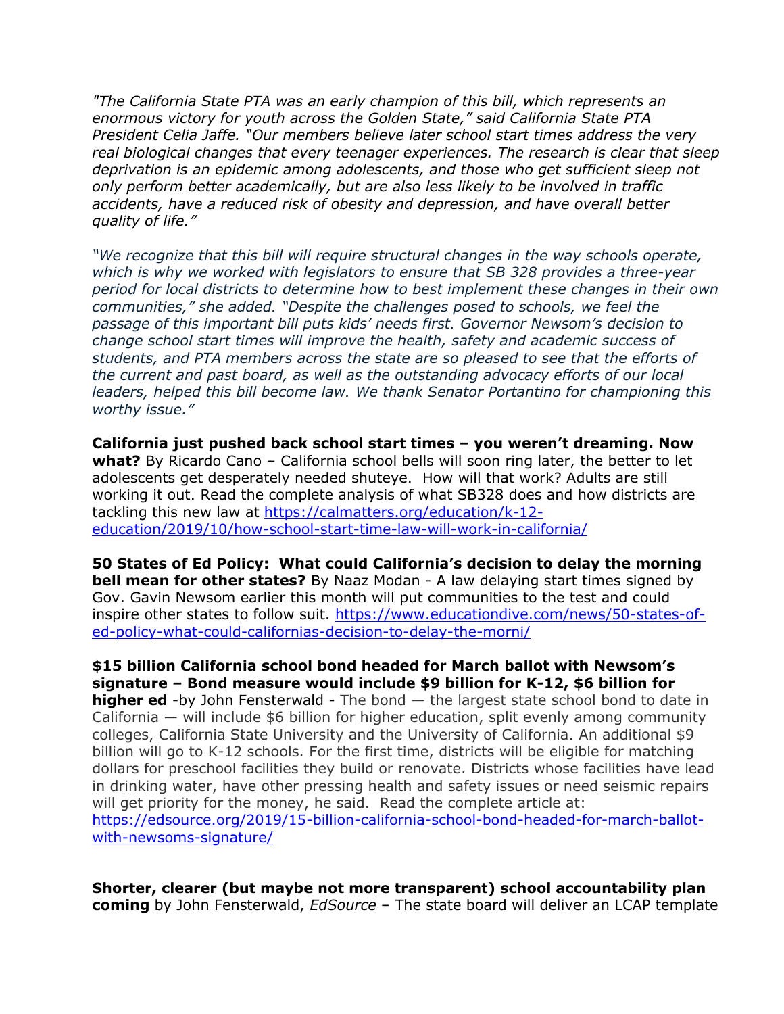*"The California State PTA was an early champion of this bill, which represents an enormous victory for youth across the Golden State," said California State PTA President Celia Jaffe. "Our members believe later school start times address the very real biological changes that every teenager experiences. The research is clear that sleep deprivation is an epidemic among adolescents, and those who get sufficient sleep not only perform better academically, but are also less likely to be involved in traffic accidents, have a reduced risk of obesity and depression, and have overall better quality of life."*

*"We recognize that this bill will require structural changes in the way schools operate, which is why we worked with legislators to ensure that SB 328 provides a three-year period for local districts to determine how to best implement these changes in their own communities," she added. "Despite the challenges posed to schools, we feel the passage of this important bill puts kids' needs first. Governor Newsom's decision to change school start times will improve the health, safety and academic success of students, and PTA members across the state are so pleased to see that the efforts of the current and past board, as well as the outstanding advocacy efforts of our local leaders, helped this bill become law. We thank Senator Portantino for championing this worthy issue."*

**California just pushed back school start times – you weren't dreaming. Now what?** By Ricardo Cano – California school bells will soon ring later, the better to let adolescents get desperately needed shuteye. How will that work? Adults are still working it out. Read the complete analysis of what SB328 does and how districts are tackling this new law at [https://calmatters.org/education/k-12](https://calmatters.org/education/k-12-education/2019/10/how-school-start-time-law-will-work-in-california/) [education/2019/10/how-school-start-time-law-will-work-in-california/](https://calmatters.org/education/k-12-education/2019/10/how-school-start-time-law-will-work-in-california/)

**50 States of Ed Policy: What could California's decision to delay the morning bell mean for other states?** By Naaz Modan - A law delaying start times signed by Gov. Gavin Newsom earlier this month will put communities to the test and could inspire other states to follow suit. [https://www.educationdive.com/news/50-states-of](https://www.educationdive.com/news/50-states-of-ed-policy-what-could-californias-decision-to-delay-the-morni/)[ed-policy-what-could-californias-decision-to-delay-the-morni/](https://www.educationdive.com/news/50-states-of-ed-policy-what-could-californias-decision-to-delay-the-morni/)

**\$15 billion California school bond headed for March ballot with Newsom's signature – Bond measure would include \$9 billion for K-12, \$6 billion for higher ed** -by John Fensterwald - The bond — the largest state school bond to date in California — will include \$6 billion for higher education, split evenly among community colleges, California State University and the University of California. An additional \$9 billion will go to K-12 schools. For the first time, districts will be eligible for matching dollars for preschool facilities they build or renovate. Districts whose facilities have lead in drinking water, have other pressing health and safety issues or need seismic repairs will get priority for the money, he said. Read the complete article at: [https://edsource.org/2019/15-billion-california-school-bond-headed-for-march-ballot](https://edsource.org/2019/15-billion-california-school-bond-headed-for-march-ballot-with-newsoms-signature/)[with-newsoms-signature/](https://edsource.org/2019/15-billion-california-school-bond-headed-for-march-ballot-with-newsoms-signature/)

**Shorter, clearer (but maybe not more transparent) school accountability plan coming** by John Fensterwald, *EdSource* – The state board will deliver an LCAP template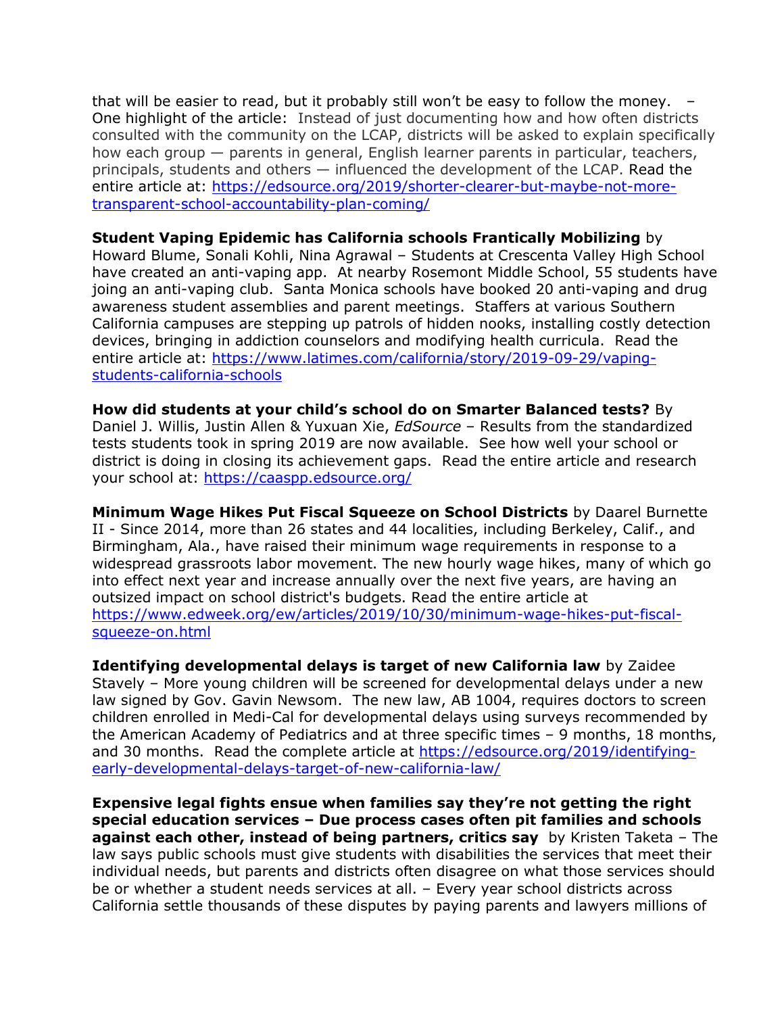that will be easier to read, but it probably still won't be easy to follow the money. – One highlight of the article: Instead of just documenting how and how often districts consulted with the community on the LCAP, districts will be asked to explain specifically how each group — parents in general, English learner parents in particular, teachers, principals, students and others — influenced the development of the LCAP. Read the entire article at: [https://edsource.org/2019/shorter-clearer-but-maybe-not-more](https://edsource.org/2019/shorter-clearer-but-maybe-not-more-transparent-school-accountability-plan-coming/)[transparent-school-accountability-plan-coming/](https://edsource.org/2019/shorter-clearer-but-maybe-not-more-transparent-school-accountability-plan-coming/)

#### **Student Vaping Epidemic has California schools Frantically Mobilizing** by

Howard Blume, Sonali Kohli, Nina Agrawal – Students at Crescenta Valley High School have created an anti-vaping app. At nearby Rosemont Middle School, 55 students have joing an anti-vaping club. Santa Monica schools have booked 20 anti-vaping and drug awareness student assemblies and parent meetings. Staffers at various Southern California campuses are stepping up patrols of hidden nooks, installing costly detection devices, bringing in addiction counselors and modifying health curricula. Read the entire article at: [https://www.latimes.com/california/story/2019-09-29/vaping](https://www.latimes.com/california/story/2019-09-29/vaping-students-california-schools)[students-california-schools](https://www.latimes.com/california/story/2019-09-29/vaping-students-california-schools)

**How did students at your child's school do on Smarter Balanced tests?** By Daniel J. Willis, Justin Allen & Yuxuan Xie, *EdSource* – Results from the standardized tests students took in spring 2019 are now available. See how well your school or district is doing in closing its achievement gaps. Read the entire article and research your school at:<https://caaspp.edsource.org/>

**Minimum Wage Hikes Put Fiscal Squeeze on School Districts** by Daarel Burnette II - Since 2014, more than 26 states and 44 localities, including Berkeley, Calif., and Birmingham, Ala., have raised their minimum wage requirements in response to a widespread grassroots labor movement. The new hourly wage hikes, many of which go into effect next year and increase annually over the next five years, are having an outsized impact on school district's budgets. Read the entire article at [https://www.edweek.org/ew/articles/2019/10/30/minimum-wage-hikes-put-fiscal](https://www.edweek.org/ew/articles/2019/10/30/minimum-wage-hikes-put-fiscal-squeeze-on.html)[squeeze-on.html](https://www.edweek.org/ew/articles/2019/10/30/minimum-wage-hikes-put-fiscal-squeeze-on.html)

**Identifying developmental delays is target of new California law** by Zaidee Stavely – More young children will be screened for developmental delays under a new law signed by Gov. Gavin Newsom. The new law, AB 1004, requires doctors to screen children enrolled in Medi-Cal for developmental delays using surveys recommended by the American Academy of Pediatrics and at three specific times – 9 months, 18 months, and 30 months. Read the complete article at [https://edsource.org/2019/identifying](https://edsource.org/2019/identifying-early-developmental-delays-target-of-new-california-law/)[early-developmental-delays-target-of-new-california-law/](https://edsource.org/2019/identifying-early-developmental-delays-target-of-new-california-law/)

**Expensive legal fights ensue when families say they're not getting the right special education services – Due process cases often pit families and schools against each other, instead of being partners, critics say** by Kristen Taketa – The law says public schools must give students with disabilities the services that meet their individual needs, but parents and districts often disagree on what those services should be or whether a student needs services at all. – Every year school districts across California settle thousands of these disputes by paying parents and lawyers millions of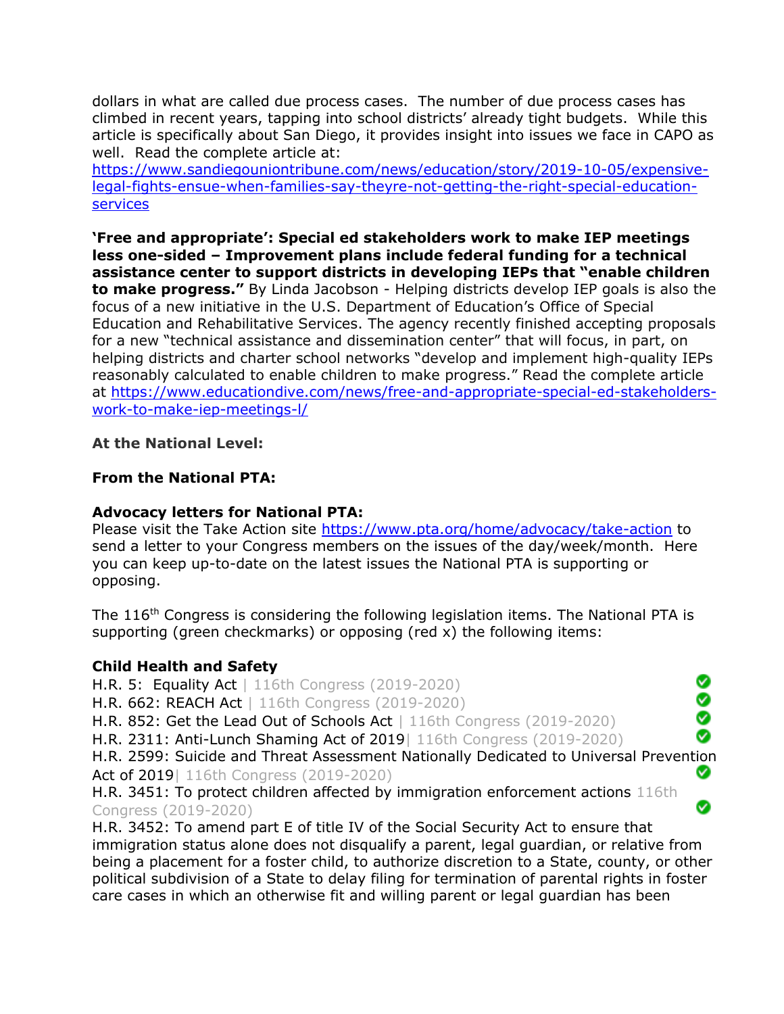dollars in what are called due process cases. The number of due process cases has climbed in recent years, tapping into school districts' already tight budgets. While this article is specifically about San Diego, it provides insight into issues we face in CAPO as well. Read the complete article at:

[https://www.sandiegouniontribune.com/news/education/story/2019-10-05/expensive](https://www.sandiegouniontribune.com/news/education/story/2019-10-05/expensive-legal-fights-ensue-when-families-say-theyre-not-getting-the-right-special-education-services)[legal-fights-ensue-when-families-say-theyre-not-getting-the-right-special-education](https://www.sandiegouniontribune.com/news/education/story/2019-10-05/expensive-legal-fights-ensue-when-families-say-theyre-not-getting-the-right-special-education-services)[services](https://www.sandiegouniontribune.com/news/education/story/2019-10-05/expensive-legal-fights-ensue-when-families-say-theyre-not-getting-the-right-special-education-services)

**'Free and appropriate': Special ed stakeholders work to make IEP meetings less one-sided – Improvement plans include federal funding for a technical assistance center to support districts in developing IEPs that "enable children to make progress."** By Linda Jacobson - Helping districts develop IEP goals is also the focus of a new initiative in the U.S. Department of Education's Office of Special Education and Rehabilitative Services. The agency recently finished accepting proposals for a new "technical assistance and dissemination center" that will focus, in part, on helping districts and charter school networks "develop and implement high-quality IEPs reasonably calculated to enable children to make progress." Read the complete article at [https://www.educationdive.com/news/free-and-appropriate-special-ed-stakeholders](https://www.educationdive.com/news/free-and-appropriate-special-ed-stakeholders-work-to-make-iep-meetings-l/)[work-to-make-iep-meetings-l/](https://www.educationdive.com/news/free-and-appropriate-special-ed-stakeholders-work-to-make-iep-meetings-l/)

## **At the National Level:**

#### **From the National PTA:**

### **Advocacy letters for National PTA:**

Please visit the Take Action site<https://www.pta.org/home/advocacy/take-action> to send a letter to your Congress members on the issues of the day/week/month. Here you can keep up-to-date on the latest issues the National PTA is supporting or opposing.

The 116<sup>th</sup> Congress is considering the following legislation items. The National PTA is supporting (green checkmarks) or opposing (red x) the following items:

## **Child Health and Safety**

H.R. 5: Equality Act | 116th Congress (2019-2020) 0 H.R. 662: REACH Act | 116th Congress (2019-2020) H.R. 852: Get the Lead Out of Schools Act | 116th Congress (2019-2020) Ø H.R. 2311: Anti-Lunch Shaming Act of 2019| 116th Congress (2019-2020) H.R. 2599: Suicide and Threat Assessment Nationally Dedicated to Universal Prevention Act of 2019| 116th Congress (2019-2020) Ø H.R. 3451: To protect children affected by immigration enforcement actions 116th Ø Congress (2019-2020)

H.R. 3452: To amend part E of title IV of the Social Security Act to ensure that immigration status alone does not disqualify a parent, legal guardian, or relative from being a placement for a foster child, to authorize discretion to a State, county, or other political subdivision of a State to delay filing for termination of parental rights in foster care cases in which an otherwise fit and willing parent or legal guardian has been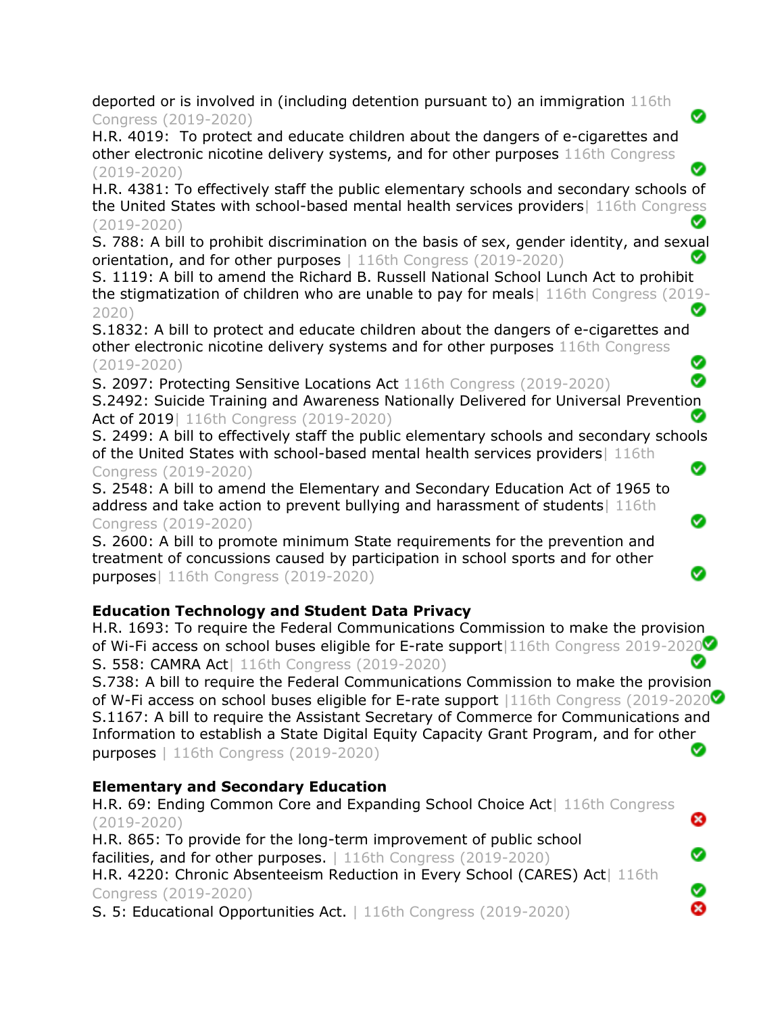deported or is involved in (including detention pursuant to) an immigration 116th Congress (2019-2020)

H.R. 4019: To protect and educate children about the dangers of e-cigarettes and other electronic nicotine delivery systems, and for other purposes 116th Congress (2019-2020)

H.R. 4381: To effectively staff the public elementary schools and secondary schools of the United States with school-based mental health services providers| 116th Congress (2019-2020)

S. 788: A bill to prohibit discrimination on the basis of sex, gender identity, and sexual orientation, and for other purposes | 116th Congress (2019-2020)

S. 1119: A bill to amend the Richard B. Russell National School Lunch Act to prohibit the stigmatization of children who are unable to pay for meals| 116th Congress (2019- Ø 2020)

S.1832: A bill to protect and educate children about the dangers of e-cigarettes and other electronic nicotine delivery systems and for other purposes 116th Congress (2019-2020) Ø

S. 2097: Protecting Sensitive Locations Act 116th Congress (2019-2020)

S.2492: Suicide Training and Awareness Nationally Delivered for Universal Prevention Ø Act of 2019 | 116th Congress (2019-2020)

S. 2499: A bill to effectively staff the public elementary schools and secondary schools of the United States with school-based mental health services providers| 116th Ø Congress (2019-2020)

Ø

Ø

ఴ

Ø

Ø Ø

S. 2548: A bill to amend the Elementary and Secondary Education Act of 1965 to address and take action to prevent bullying and harassment of students 116th Congress (2019-2020)

S. 2600: A bill to promote minimum State requirements for the prevention and treatment of concussions caused by participation in school sports and for other purposes| 116th Congress (2019-2020)

# **Education Technology and Student Data Privacy**

H.R. 1693: To require the Federal Communications Commission to make the provision of Wi-Fi access on school buses eligible for E-rate support 116th Congress 2019-2020 Ø S. 558: CAMRA Act| 116th Congress (2019-2020)

S.738: A bill to require the Federal Communications Commission to make the provision of W-Fi access on school buses eligible for E-rate support |116th Congress (2019-2020 $\bullet$ ) S.1167: A bill to require the Assistant Secretary of Commerce for Communications and Information to establish a State Digital Equity Capacity Grant Program, and for other ◙ purposes | 116th Congress (2019-2020)

# **Elementary and Secondary Education**

H.R. 69: Ending Common Core and Expanding School Choice Act| 116th Congress (2019-2020)

H.R. 865: To provide for the long-term improvement of public school facilities, and for other purposes. 116th Congress (2019-2020)

H.R. 4220: Chronic Absenteeism Reduction in Every School (CARES) Act | 116th Congress (2019-2020)

S. 5: Educational Opportunities Act. | 116th Congress (2019-2020)